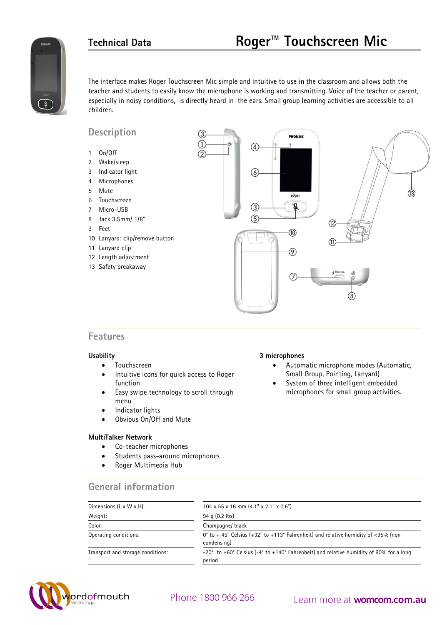$\overline{\mathfrak{g}}$ 





### **Features**

### **Usability**

- Touchscreen
- Intuitive icons for quick access to Roger function
- Easy swipe technology to scroll through menu
- Indicator lights
- Obvious On/Off and Mute

### **MultiTalker Network**

- Co-teacher microphones
- Students pass-around microphones
- Roger Multimedia Hub

### **3 microphones**

- Automatic microphone modes (Automatic, Small Group, Pointing, Lanyard)
- System of three intelligent embedded microphones for small group activities.

| <b>General information</b> |  |  |
|----------------------------|--|--|
|----------------------------|--|--|

| Dimensions $(L \times W \times H)$ : | $104 \times 55 \times 16$ mm $(4.1" \times 2.1" \times 0.6")$                                                                         |
|--------------------------------------|---------------------------------------------------------------------------------------------------------------------------------------|
| Weight:                              | $94$ q $(0.2$ lbs)                                                                                                                    |
| Color:                               | Champagne/black                                                                                                                       |
| Operating conditions:                | 0° to +45° Celsius (+32° to +113° Fahrenheit) and relative humidity of <95% (non<br>condensing)                                       |
| Transport and storage conditions:    | $-20^{\circ}$ to $+60^{\circ}$ Celsius ( $-4^{\circ}$ to $+140^{\circ}$ Fahrenheit) and relative humidity of 90% for a long<br>period |